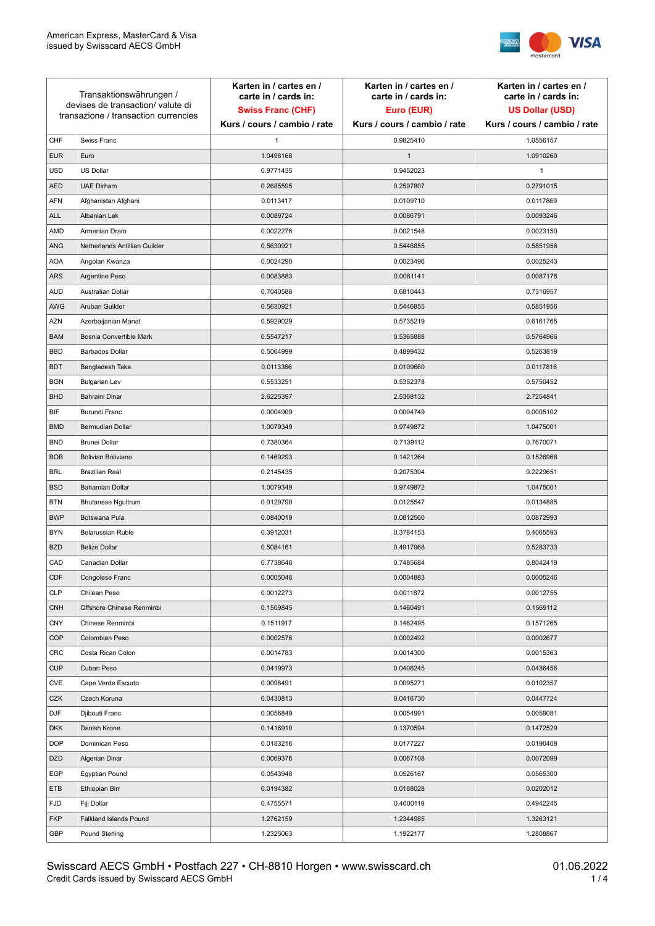

| Transaktionswährungen /<br>devises de transaction/valute di<br>transazione / transaction currencies |                               | Karten in / cartes en /<br>carte in / cards in:<br><b>Swiss Franc (CHF)</b> | Karten in / cartes en /<br>carte in / cards in:<br>Euro (EUR) | Karten in / cartes en /<br>carte in / cards in:<br><b>US Dollar (USD)</b> |
|-----------------------------------------------------------------------------------------------------|-------------------------------|-----------------------------------------------------------------------------|---------------------------------------------------------------|---------------------------------------------------------------------------|
|                                                                                                     |                               | Kurs / cours / cambio / rate                                                | Kurs / cours / cambio / rate                                  | Kurs / cours / cambio / rate                                              |
| CHF                                                                                                 | Swiss Franc                   | $\mathbf{1}$                                                                | 0.9825410                                                     | 1.0556157                                                                 |
| <b>EUR</b>                                                                                          | Euro                          | 1.0498168                                                                   | $\mathbf{1}$                                                  | 1.0910260                                                                 |
| <b>USD</b>                                                                                          | <b>US Dollar</b>              | 0.9771435                                                                   | 0.9452023                                                     | 1                                                                         |
| <b>AED</b>                                                                                          | <b>UAE Dirham</b>             | 0.2685595                                                                   | 0.2597807                                                     | 0.2791015                                                                 |
| <b>AFN</b>                                                                                          | Afghanistan Afghani           | 0.0113417                                                                   | 0.0109710                                                     | 0.0117869                                                                 |
| <b>ALL</b>                                                                                          | Albanian Lek                  | 0.0089724                                                                   | 0.0086791                                                     | 0.0093246                                                                 |
| AMD                                                                                                 | Armenian Dram                 | 0.0022276                                                                   | 0.0021548                                                     | 0.0023150                                                                 |
| ANG                                                                                                 | Netherlands Antillian Guilder | 0.5630921                                                                   | 0.5446855                                                     | 0.5851956                                                                 |
| <b>AOA</b>                                                                                          | Angolan Kwanza                | 0.0024290                                                                   | 0.0023496                                                     | 0.0025243                                                                 |
| ARS                                                                                                 | Argentine Peso                | 0.0083883                                                                   | 0.0081141                                                     | 0.0087176                                                                 |
| <b>AUD</b>                                                                                          | Australian Dollar             | 0.7040588                                                                   | 0.6810443                                                     | 0.7316957                                                                 |
| AWG                                                                                                 | Aruban Guilder                | 0.5630921                                                                   | 0.5446855                                                     | 0.5851956                                                                 |
| <b>AZN</b>                                                                                          | Azerbaijanian Manat           | 0.5929029                                                                   | 0.5735219                                                     | 0.6161765                                                                 |
| <b>BAM</b>                                                                                          | Bosnia Convertible Mark       | 0.5547217                                                                   | 0.5365888                                                     | 0.5764966                                                                 |
| <b>BBD</b>                                                                                          | <b>Barbados Dollar</b>        | 0.5064999                                                                   | 0.4899432                                                     | 0.5263819                                                                 |
| <b>BDT</b>                                                                                          | Bangladesh Taka               | 0.0113366                                                                   | 0.0109660                                                     | 0.0117816                                                                 |
| <b>BGN</b>                                                                                          | <b>Bulgarian Lev</b>          | 0.5533251                                                                   | 0.5352378                                                     | 0.5750452                                                                 |
| <b>BHD</b>                                                                                          | Bahraini Dinar                | 2.6225397                                                                   | 2.5368132                                                     | 2.7254841                                                                 |
| BIF                                                                                                 | Burundi Franc                 | 0.0004909                                                                   | 0.0004749                                                     | 0.0005102                                                                 |
| <b>BMD</b>                                                                                          | Bermudian Dollar              | 1.0079349                                                                   | 0.9749872                                                     | 1.0475001                                                                 |
| <b>BND</b>                                                                                          | <b>Brunei Dollar</b>          | 0.7380364                                                                   | 0.7139112                                                     | 0.7670071                                                                 |
| <b>BOB</b>                                                                                          | Bolivian Boliviano            | 0.1469293                                                                   | 0.1421264                                                     | 0.1526968                                                                 |
| <b>BRL</b>                                                                                          | <b>Brazilian Real</b>         | 0.2145435                                                                   | 0.2075304                                                     | 0.2229651                                                                 |
| <b>BSD</b>                                                                                          | <b>Bahamian Dollar</b>        | 1.0079349                                                                   | 0.9749872                                                     | 1.0475001                                                                 |
| <b>BTN</b>                                                                                          | <b>Bhutanese Ngultrum</b>     | 0.0129790                                                                   | 0.0125547                                                     | 0.0134885                                                                 |
| <b>BWP</b>                                                                                          | Botswana Pula                 | 0.0840019                                                                   | 0.0812560                                                     | 0.0872993                                                                 |
| <b>BYN</b>                                                                                          | Belarussian Ruble             | 0.3912031                                                                   | 0.3784153                                                     | 0.4065593                                                                 |
| <b>BZD</b>                                                                                          | <b>Belize Dollar</b>          | 0.5084161                                                                   | 0.4917968                                                     | 0.5283733                                                                 |
| CAD                                                                                                 | Canadian Dollar               | 0.7738648                                                                   | 0.7485684                                                     | 0.8042419                                                                 |
| CDF                                                                                                 | Congolese Franc               | 0.0005048                                                                   | 0.0004883                                                     | 0.0005246                                                                 |
| <b>CLP</b>                                                                                          | Chilean Peso                  | 0.0012273                                                                   | 0.0011872                                                     | 0.0012755                                                                 |
| <b>CNH</b>                                                                                          | Offshore Chinese Renminbi     | 0.1509845                                                                   | 0.1460491                                                     | 0.1569112                                                                 |
| <b>CNY</b>                                                                                          | Chinese Renminbi              | 0.1511917                                                                   | 0.1462495                                                     | 0.1571265                                                                 |
| <b>COP</b>                                                                                          | Colombian Peso                | 0.0002576                                                                   | 0.0002492                                                     | 0.0002677                                                                 |
| CRC                                                                                                 | Costa Rican Colon             | 0.0014783                                                                   | 0.0014300                                                     | 0.0015363                                                                 |
| <b>CUP</b>                                                                                          | Cuban Peso                    | 0.0419973                                                                   | 0.0406245                                                     | 0.0436458                                                                 |
| CVE                                                                                                 | Cape Verde Escudo             | 0.0098491                                                                   | 0.0095271                                                     | 0.0102357                                                                 |
| CZK                                                                                                 | Czech Koruna                  | 0.0430813                                                                   | 0.0416730                                                     | 0.0447724                                                                 |
| <b>DJF</b>                                                                                          | Djibouti Franc                | 0.0056849                                                                   | 0.0054991                                                     | 0.0059081                                                                 |
| <b>DKK</b>                                                                                          | Danish Krone                  | 0.1416910                                                                   | 0.1370594                                                     | 0.1472529                                                                 |
| <b>DOP</b>                                                                                          | Dominican Peso                | 0.0183216                                                                   | 0.0177227                                                     | 0.0190408                                                                 |
| <b>DZD</b>                                                                                          | Algerian Dinar                | 0.0069376                                                                   | 0.0067108                                                     | 0.0072099                                                                 |
| EGP                                                                                                 | Egyptian Pound                | 0.0543948                                                                   | 0.0526167                                                     | 0.0565300                                                                 |
| ETB                                                                                                 | Ethiopian Birr                | 0.0194382                                                                   | 0.0188028                                                     | 0.0202012                                                                 |
| <b>FJD</b>                                                                                          | Fiji Dollar                   | 0.4755571                                                                   | 0.4600119                                                     | 0.4942245                                                                 |
| <b>FKP</b>                                                                                          | Falkland Islands Pound        | 1.2762159                                                                   | 1.2344985                                                     | 1.3263121                                                                 |
| GBP                                                                                                 | Pound Sterling                | 1.2325063                                                                   | 1.1922177                                                     | 1.2808867                                                                 |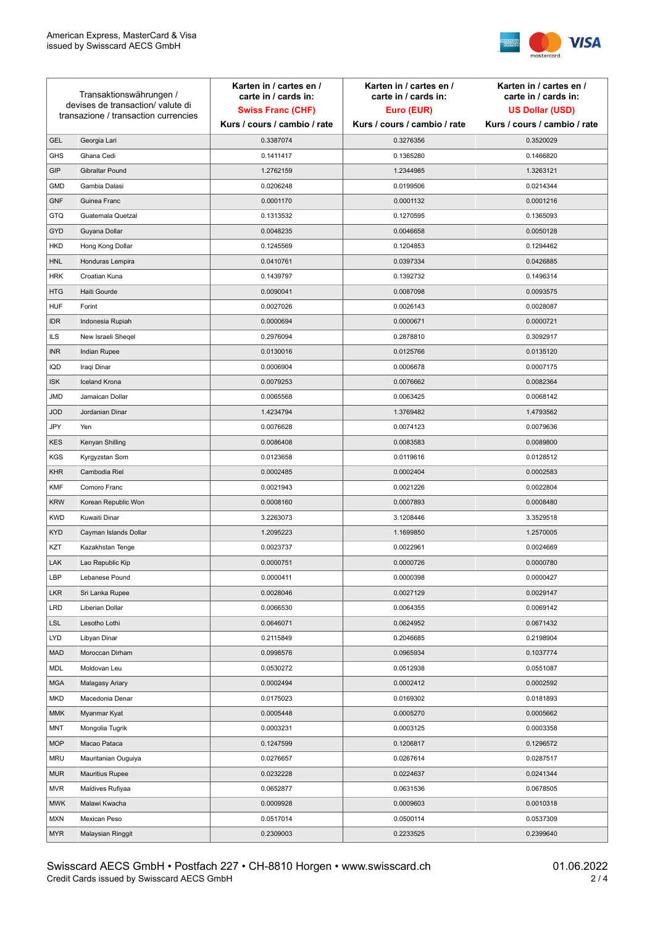

| Transaktionswährungen /<br>devises de transaction/valute di |                                      | Karten in / cartes en /<br>carte in / cards in: | Karten in / cartes en /<br>carte in / cards in: | Karten in / cartes en /<br>carte in / cards in: |
|-------------------------------------------------------------|--------------------------------------|-------------------------------------------------|-------------------------------------------------|-------------------------------------------------|
|                                                             |                                      | <b>Swiss Franc (CHF)</b>                        | Euro (EUR)                                      | <b>US Dollar (USD)</b>                          |
|                                                             | transazione / transaction currencies | Kurs / cours / cambio / rate                    | Kurs / cours / cambio / rate                    | Kurs / cours / cambio / rate                    |
| <b>GEL</b>                                                  | Georgia Lari                         | 0.3387074                                       | 0.3276356                                       | 0.3520029                                       |
| <b>GHS</b>                                                  | Ghana Cedi                           | 0.1411417                                       | 0.1365280                                       | 0.1466820                                       |
| GIP                                                         | Gibraltar Pound                      | 1.2762159                                       | 1.2344985                                       | 1.3263121                                       |
| <b>GMD</b>                                                  | Gambia Dalasi                        | 0.0206248                                       | 0.0199506                                       | 0.0214344                                       |
| <b>GNF</b>                                                  | Guinea Franc                         | 0.0001170                                       | 0.0001132                                       | 0.0001216                                       |
| <b>GTQ</b>                                                  | Guatemala Quetzal                    | 0.1313532                                       | 0.1270595                                       | 0.1365093                                       |
| GYD                                                         | Guyana Dollar                        | 0.0048235                                       | 0.0046658                                       | 0.0050128                                       |
| HKD                                                         | Hong Kong Dollar                     | 0.1245569                                       | 0.1204853                                       | 0.1294462                                       |
| <b>HNL</b>                                                  | Honduras Lempira                     | 0.0410761                                       | 0.0397334                                       | 0.0426885                                       |
| <b>HRK</b>                                                  | Croatian Kuna                        | 0.1439797                                       | 0.1392732                                       | 0.1496314                                       |
| <b>HTG</b>                                                  | Haiti Gourde                         | 0.0090041                                       | 0.0087098                                       | 0.0093575                                       |
| <b>HUF</b>                                                  | Forint                               | 0.0027026                                       | 0.0026143                                       | 0.0028087                                       |
| <b>IDR</b>                                                  | Indonesia Rupiah                     | 0.0000694                                       | 0.0000671                                       | 0.0000721                                       |
| <b>ILS</b>                                                  | New Israeli Sheqel                   | 0.2976094                                       | 0.2878810                                       | 0.3092917                                       |
| <b>INR</b>                                                  | Indian Rupee                         | 0.0130016                                       | 0.0125766                                       | 0.0135120                                       |
| IQD                                                         | Iraqi Dinar                          | 0.0006904                                       | 0.0006678                                       | 0.0007175                                       |
| <b>ISK</b>                                                  | <b>Iceland Krona</b>                 | 0.0079253                                       | 0.0076662                                       | 0.0082364                                       |
| <b>JMD</b>                                                  | Jamaican Dollar                      | 0.0065568                                       | 0.0063425                                       | 0.0068142                                       |
| <b>JOD</b>                                                  | Jordanian Dinar                      | 1.4234794                                       | 1.3769482                                       | 1.4793562                                       |
| JPY                                                         | Yen                                  | 0.0076628                                       | 0.0074123                                       | 0.0079636                                       |
| <b>KES</b>                                                  | Kenyan Shilling                      | 0.0086408                                       | 0.0083583                                       | 0.0089800                                       |
| <b>KGS</b>                                                  | Kyrgyzstan Som                       | 0.0123658                                       | 0.0119616                                       | 0.0128512                                       |
| <b>KHR</b>                                                  | Cambodia Riel                        | 0.0002485                                       | 0.0002404                                       | 0.0002583                                       |
| <b>KMF</b>                                                  | Comoro Franc                         | 0.0021943                                       | 0.0021226                                       | 0.0022804                                       |
| <b>KRW</b>                                                  | Korean Republic Won                  | 0.0008160                                       | 0.0007893                                       | 0.0008480                                       |
| <b>KWD</b>                                                  | Kuwaiti Dinar                        | 3.2263073                                       | 3.1208446                                       | 3.3529518                                       |
| <b>KYD</b>                                                  | Cayman Islands Dollar                | 1.2095223                                       | 1.1699850                                       | 1.2570005                                       |
| KZT                                                         | Kazakhstan Tenge                     | 0.0023737                                       | 0.0022961                                       | 0.0024669                                       |
| LAK                                                         | Lao Republic Kip                     | 0.0000751                                       | 0.0000726                                       | 0.0000780                                       |
| LBP                                                         | Lebanese Pound                       | 0.0000411                                       | 0.0000398                                       | 0.0000427                                       |
| <b>LKR</b>                                                  | Sri Lanka Rupee                      | 0.0028046                                       | 0.0027129                                       | 0.0029147                                       |
| <b>LRD</b>                                                  | Liberian Dollar                      | 0.0066530                                       | 0.0064355                                       | 0.0069142                                       |
| <b>LSL</b>                                                  | Lesotho Lothi                        | 0.0646071                                       | 0.0624952                                       | 0.0671432                                       |
| LYD                                                         | Libyan Dinar                         | 0.2115849                                       | 0.2046685                                       | 0.2198904                                       |
| <b>MAD</b>                                                  | Moroccan Dirham                      | 0.0998576                                       | 0.0965934                                       | 0.1037774                                       |
| MDL                                                         | Moldovan Leu                         | 0.0530272                                       | 0.0512938                                       | 0.0551087                                       |
| <b>MGA</b>                                                  | Malagasy Ariary                      | 0.0002494                                       | 0.0002412                                       | 0.0002592                                       |
| MKD                                                         | Macedonia Denar                      | 0.0175023                                       | 0.0169302                                       | 0.0181893                                       |
| <b>MMK</b>                                                  | Myanmar Kyat                         | 0.0005448                                       | 0.0005270                                       | 0.0005662                                       |
| <b>MNT</b>                                                  | Mongolia Tugrik                      | 0.0003231                                       | 0.0003125                                       | 0.0003358                                       |
| <b>MOP</b>                                                  | Macao Pataca                         | 0.1247599                                       | 0.1206817                                       | 0.1296572                                       |
| <b>MRU</b>                                                  | Mauritanian Ouguiya                  | 0.0276657                                       | 0.0267614                                       | 0.0287517                                       |
| <b>MUR</b>                                                  | <b>Mauritius Rupee</b>               | 0.0232228                                       | 0.0224637                                       | 0.0241344                                       |
| <b>MVR</b>                                                  | Maldives Rufiyaa                     | 0.0652877                                       | 0.0631536                                       | 0.0678505                                       |
| <b>MWK</b>                                                  | Malawi Kwacha                        | 0.0009928                                       | 0.0009603                                       | 0.0010318                                       |
| <b>MXN</b>                                                  | Mexican Peso                         | 0.0517014                                       | 0.0500114                                       | 0.0537309                                       |
| <b>MYR</b>                                                  | Malaysian Ringgit                    | 0.2309003                                       | 0.2233525                                       | 0.2399640                                       |
|                                                             |                                      |                                                 |                                                 |                                                 |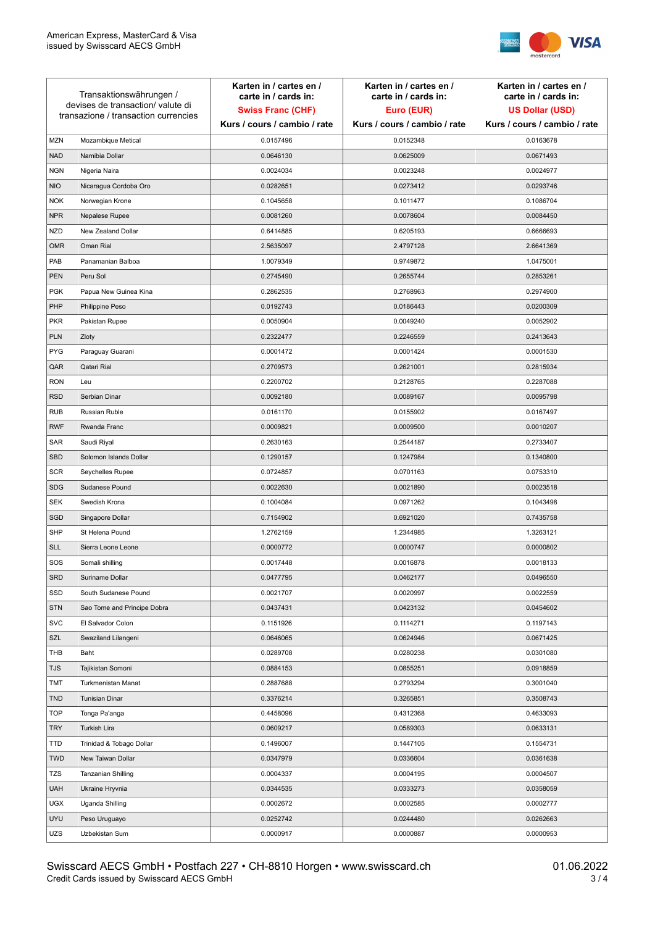

| Transaktionswährungen /<br>devises de transaction/valute di<br>transazione / transaction currencies |                             | Karten in / cartes en /<br>carte in / cards in:<br><b>Swiss Franc (CHF)</b> | Karten in / cartes en /<br>carte in / cards in:<br>Euro (EUR) | Karten in / cartes en /<br>carte in / cards in:<br><b>US Dollar (USD)</b> |
|-----------------------------------------------------------------------------------------------------|-----------------------------|-----------------------------------------------------------------------------|---------------------------------------------------------------|---------------------------------------------------------------------------|
|                                                                                                     |                             | Kurs / cours / cambio / rate                                                | Kurs / cours / cambio / rate                                  | Kurs / cours / cambio / rate                                              |
| <b>MZN</b>                                                                                          | Mozambique Metical          | 0.0157496                                                                   | 0.0152348                                                     | 0.0163678                                                                 |
| <b>NAD</b>                                                                                          | Namibia Dollar              | 0.0646130                                                                   | 0.0625009                                                     | 0.0671493                                                                 |
| <b>NGN</b>                                                                                          | Nigeria Naira               | 0.0024034                                                                   | 0.0023248                                                     | 0.0024977                                                                 |
| <b>NIO</b>                                                                                          | Nicaragua Cordoba Oro       | 0.0282651                                                                   | 0.0273412                                                     | 0.0293746                                                                 |
| <b>NOK</b>                                                                                          | Norwegian Krone             | 0.1045658                                                                   | 0.1011477                                                     | 0.1086704                                                                 |
| <b>NPR</b>                                                                                          | Nepalese Rupee              | 0.0081260                                                                   | 0.0078604                                                     | 0.0084450                                                                 |
| <b>NZD</b>                                                                                          | New Zealand Dollar          | 0.6414885                                                                   | 0.6205193                                                     | 0.6666693                                                                 |
| <b>OMR</b>                                                                                          | Oman Rial                   | 2.5635097                                                                   | 2.4797128                                                     | 2.6641369                                                                 |
| PAB                                                                                                 | Panamanian Balboa           | 1.0079349                                                                   | 0.9749872                                                     | 1.0475001                                                                 |
| <b>PEN</b>                                                                                          | Peru Sol                    | 0.2745490                                                                   | 0.2655744                                                     | 0.2853261                                                                 |
| <b>PGK</b>                                                                                          | Papua New Guinea Kina       | 0.2862535                                                                   | 0.2768963                                                     | 0.2974900                                                                 |
| PHP                                                                                                 | Philippine Peso             | 0.0192743                                                                   | 0.0186443                                                     | 0.0200309                                                                 |
| <b>PKR</b>                                                                                          | Pakistan Rupee              | 0.0050904                                                                   | 0.0049240                                                     | 0.0052902                                                                 |
| <b>PLN</b>                                                                                          | Zloty                       | 0.2322477                                                                   | 0.2246559                                                     | 0.2413643                                                                 |
| <b>PYG</b>                                                                                          | Paraguay Guarani            | 0.0001472                                                                   | 0.0001424                                                     | 0.0001530                                                                 |
| QAR                                                                                                 | Qatari Rial                 | 0.2709573                                                                   | 0.2621001                                                     | 0.2815934                                                                 |
| <b>RON</b>                                                                                          | Leu                         | 0.2200702                                                                   | 0.2128765                                                     | 0.2287088                                                                 |
| <b>RSD</b>                                                                                          | Serbian Dinar               | 0.0092180                                                                   | 0.0089167                                                     | 0.0095798                                                                 |
| <b>RUB</b>                                                                                          | Russian Ruble               | 0.0161170                                                                   | 0.0155902                                                     | 0.0167497                                                                 |
| <b>RWF</b>                                                                                          | Rwanda Franc                | 0.0009821                                                                   | 0.0009500                                                     | 0.0010207                                                                 |
| SAR                                                                                                 | Saudi Riyal                 | 0.2630163                                                                   | 0.2544187                                                     | 0.2733407                                                                 |
| SBD                                                                                                 | Solomon Islands Dollar      | 0.1290157                                                                   | 0.1247984                                                     | 0.1340800                                                                 |
| <b>SCR</b>                                                                                          | Seychelles Rupee            | 0.0724857                                                                   | 0.0701163                                                     | 0.0753310                                                                 |
| <b>SDG</b>                                                                                          | Sudanese Pound              | 0.0022630                                                                   | 0.0021890                                                     | 0.0023518                                                                 |
| <b>SEK</b>                                                                                          | Swedish Krona               | 0.1004084                                                                   | 0.0971262                                                     | 0.1043498                                                                 |
| SGD                                                                                                 | Singapore Dollar            | 0.7154902                                                                   | 0.6921020                                                     | 0.7435758                                                                 |
| <b>SHP</b>                                                                                          | St Helena Pound             | 1.2762159                                                                   | 1.2344985                                                     | 1.3263121                                                                 |
| <b>SLL</b>                                                                                          | Sierra Leone Leone          | 0.0000772                                                                   | 0.0000747                                                     | 0.0000802                                                                 |
| SOS                                                                                                 | Somali shilling             | 0.0017448                                                                   | 0.0016878                                                     | 0.0018133                                                                 |
| SRD                                                                                                 | Suriname Dollar             | 0.0477795                                                                   | 0.0462177                                                     | 0.0496550                                                                 |
| SSD                                                                                                 | South Sudanese Pound        | 0.0021707                                                                   | 0.0020997                                                     | 0.0022559                                                                 |
| <b>STN</b>                                                                                          | Sao Tome and Principe Dobra | 0.0437431                                                                   | 0.0423132                                                     | 0.0454602                                                                 |
| <b>SVC</b>                                                                                          | El Salvador Colon           | 0.1151926                                                                   | 0.1114271                                                     | 0.1197143                                                                 |
| SZL                                                                                                 | Swaziland Lilangeni         | 0.0646065                                                                   | 0.0624946                                                     | 0.0671425                                                                 |
| THB                                                                                                 | Baht                        | 0.0289708                                                                   | 0.0280238                                                     | 0.0301080                                                                 |
| <b>TJS</b>                                                                                          | Tajikistan Somoni           | 0.0884153                                                                   | 0.0855251                                                     | 0.0918859                                                                 |
| <b>TMT</b>                                                                                          | Turkmenistan Manat          | 0.2887688                                                                   | 0.2793294                                                     | 0.3001040                                                                 |
| <b>TND</b>                                                                                          | <b>Tunisian Dinar</b>       | 0.3376214                                                                   | 0.3265851                                                     | 0.3508743                                                                 |
| <b>TOP</b>                                                                                          | Tonga Pa'anga               | 0.4458096                                                                   | 0.4312368                                                     | 0.4633093                                                                 |
| <b>TRY</b>                                                                                          | Turkish Lira                | 0.0609217                                                                   | 0.0589303                                                     | 0.0633131                                                                 |
| TTD                                                                                                 | Trinidad & Tobago Dollar    | 0.1496007                                                                   | 0.1447105                                                     | 0.1554731                                                                 |
| <b>TWD</b>                                                                                          | New Taiwan Dollar           | 0.0347979                                                                   | 0.0336604                                                     | 0.0361638                                                                 |
| <b>TZS</b>                                                                                          | Tanzanian Shilling          | 0.0004337                                                                   | 0.0004195                                                     | 0.0004507                                                                 |
| <b>UAH</b>                                                                                          | Ukraine Hryvnia             | 0.0344535                                                                   | 0.0333273                                                     | 0.0358059                                                                 |
| <b>UGX</b>                                                                                          | Uganda Shilling             | 0.0002672                                                                   | 0.0002585                                                     | 0.0002777                                                                 |
| <b>UYU</b>                                                                                          | Peso Uruguayo               | 0.0252742                                                                   | 0.0244480                                                     | 0.0262663                                                                 |
| UZS                                                                                                 | Uzbekistan Sum              | 0.0000917                                                                   | 0.0000887                                                     | 0.0000953                                                                 |